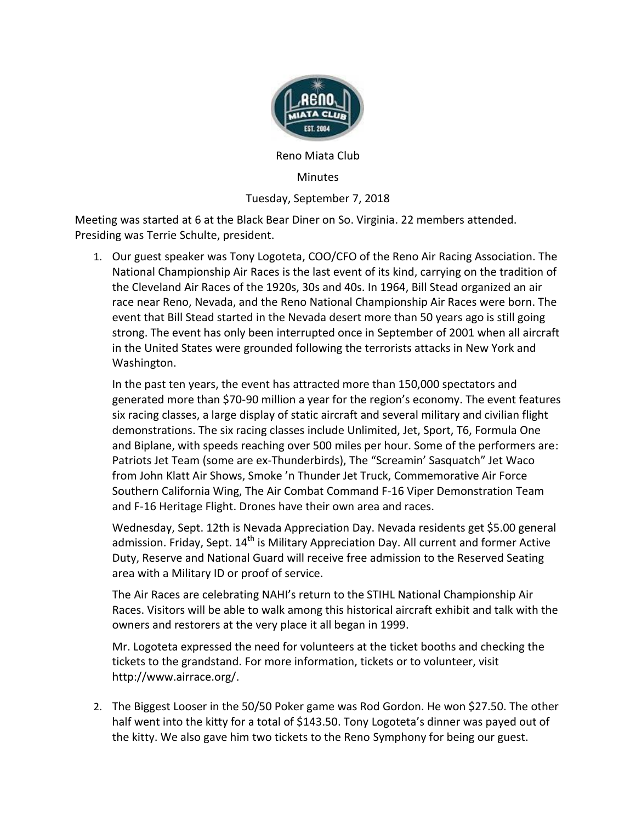

Reno Miata Club

## Minutes

Tuesday, September 7, 2018

Meeting was started at 6 at the Black Bear Diner on So. Virginia. 22 members attended. Presiding was Terrie Schulte, president.

1. Our guest speaker was Tony Logoteta, COO/CFO of the Reno Air Racing Association. The National Championship Air Races is the last event of its kind, carrying on the tradition of the Cleveland Air Races of the 1920s, 30s and 40s. In 1964, Bill Stead organized an air race near Reno, Nevada, and the Reno National Championship Air Races were born. The event that Bill Stead started in the Nevada desert more than 50 years ago is still going strong. The event has only been interrupted once in September of 2001 when all aircraft in the United States were grounded following the terrorists attacks in New York and Washington.

In the past ten years, the event has attracted more than 150,000 spectators and generated more than \$70-90 million a year for the region's economy. The event features six racing classes, a large display of static aircraft and several military and civilian flight demonstrations. The six racing classes include Unlimited, Jet, Sport, T6, Formula One and Biplane, with speeds reaching over 500 miles per hour. Some of the performers are: Patriots Jet Team (some are ex-Thunderbirds), The "Screamin' Sasquatch" Jet Waco from John Klatt Air Shows, Smoke 'n Thunder Jet Truck, Commemorative Air Force Southern California Wing, The Air Combat Command F-16 Viper Demonstration Team and F-16 Heritage Flight. Drones have their own area and races.

Wednesday, Sept. 12th is Nevada Appreciation Day. Nevada residents get \$5.00 general admission. Friday, Sept.  $14<sup>th</sup>$  is Military Appreciation Day. All current and former Active Duty, Reserve and National Guard will receive free admission to the Reserved Seating area with a Military ID or proof of service.

The Air Races are celebrating NAHI's return to the STIHL National Championship Air Races. Visitors will be able to walk among this historical aircraft exhibit and talk with the owners and restorers at the very place it all began in 1999.

Mr. Logoteta expressed the need for volunteers at the ticket booths and checking the tickets to the grandstand. For more information, tickets or to volunteer, visit [http://www.airrace.org/.](https://www.airrace.org/)

2. The Biggest Looser in the 50/50 Poker game was Rod Gordon. He won \$27.50. The other half went into the kitty for a total of \$143.50. Tony Logoteta's dinner was payed out of the kitty. We also gave him two tickets to the Reno Symphony for being our guest.